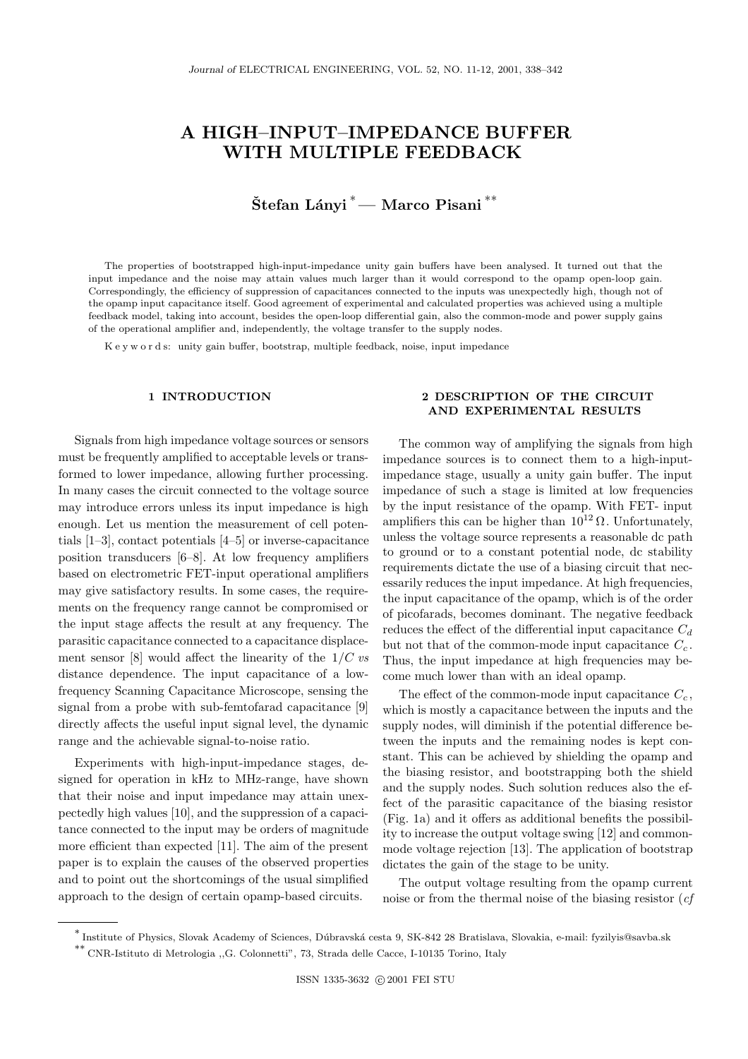# **A HIGH–INPUT–IMPEDANCE BUFFER WITH MULTIPLE FEEDBACK**

# $\text{Štefan}$  Lányi<sup>\*</sup> — Marco Pisani<sup>\*\*</sup>

The properties of bootstrapped high-input-impedance unity gain buffers have been analysed. It turned out that the input impedance and the noise may attain values much larger than it would correspond to the opamp open-loop gain. Correspondingly, the efficiency of suppression of capacitances connected to the inputs was unexpectedly high, though not of the opamp input capacitance itself. Good agreement of experimental and calculated properties was achieved using a multiple feedback model, taking into account, besides the open-loop differential gain, also the common-mode and power supply gains of the operational amplifier and, independently, the voltage transfer to the supply nodes.

K e y w o r d s: unity gain buffer, bootstrap, multiple feedback, noise, input impedance

## **1 INTRODUCTION**

Signals from high impedance voltage sources or sensors must be frequently amplified to acceptable levels or transformed to lower impedance, allowing further processing. In many cases the circuit connected to the voltage source may introduce errors unless its input impedance is high enough. Let us mention the measurement of cell potentials [1–3], contact potentials [4–5] or inverse-capacitance position transducers [6–8]. At low frequency amplifiers based on electrometric FET-input operational amplifiers may give satisfactory results. In some cases, the requirements on the frequency range cannot be compromised or the input stage affects the result at any frequency. The parasitic capacitance connected to a capacitance displacement sensor [8] would affect the linearity of the 1/C *vs* distance dependence. The input capacitance of a lowfrequency Scanning Capacitance Microscope, sensing the signal from a probe with sub-femtofarad capacitance [9] directly affects the useful input signal level, the dynamic range and the achievable signal-to-noise ratio.

Experiments with high-input-impedance stages, designed for operation in kHz to MHz-range, have shown that their noise and input impedance may attain unexpectedly high values [10], and the suppression of a capacitance connected to the input may be orders of magnitude more efficient than expected [11]. The aim of the present paper is to explain the causes of the observed properties and to point out the shortcomings of the usual simplified approach to the design of certain opamp-based circuits.

### **2 DESCRIPTION OF THE CIRCUIT AND EXPERIMENTAL RESULTS**

The common way of amplifying the signals from high impedance sources is to connect them to a high-inputimpedance stage, usually a unity gain buffer. The input impedance of such a stage is limited at low frequencies by the input resistance of the opamp. With FET- input amplifiers this can be higher than  $10^{12} \Omega$ . Unfortunately, unless the voltage source represents a reasonable dc path to ground or to a constant potential node, dc stability requirements dictate the use of a biasing circuit that necessarily reduces the input impedance. At high frequencies, the input capacitance of the opamp, which is of the order of picofarads, becomes dominant. The negative feedback reduces the effect of the differential input capacitance C*<sup>d</sup>* but not that of the common-mode input capacitance C*<sup>c</sup>* . Thus, the input impedance at high frequencies may become much lower than with an ideal opamp.

The effect of the common-mode input capacitance  $C_c$ , which is mostly a capacitance between the inputs and the supply nodes, will diminish if the potential difference between the inputs and the remaining nodes is kept constant. This can be achieved by shielding the opamp and the biasing resistor, and bootstrapping both the shield and the supply nodes. Such solution reduces also the effect of the parasitic capacitance of the biasing resistor (Fig. 1a) and it offers as additional benefits the possibility to increase the output voltage swing [12] and commonmode voltage rejection [13]. The application of bootstrap dictates the gain of the stage to be unity.

The output voltage resulting from the opamp current noise or from the thermal noise of the biasing resistor (*cf*

<sup>∗</sup> Institute of Physics, Slovak Academy of Sciences, D´ubravsk´a cesta 9, SK-842 28 Bratislava, Slovakia, e-mail: fyzilyis@savba.sk

<sup>∗∗</sup> CNR-Istituto di Metrologia ,,G. Colonnetti", 73, Strada delle Cacce, I-10135 Torino, Italy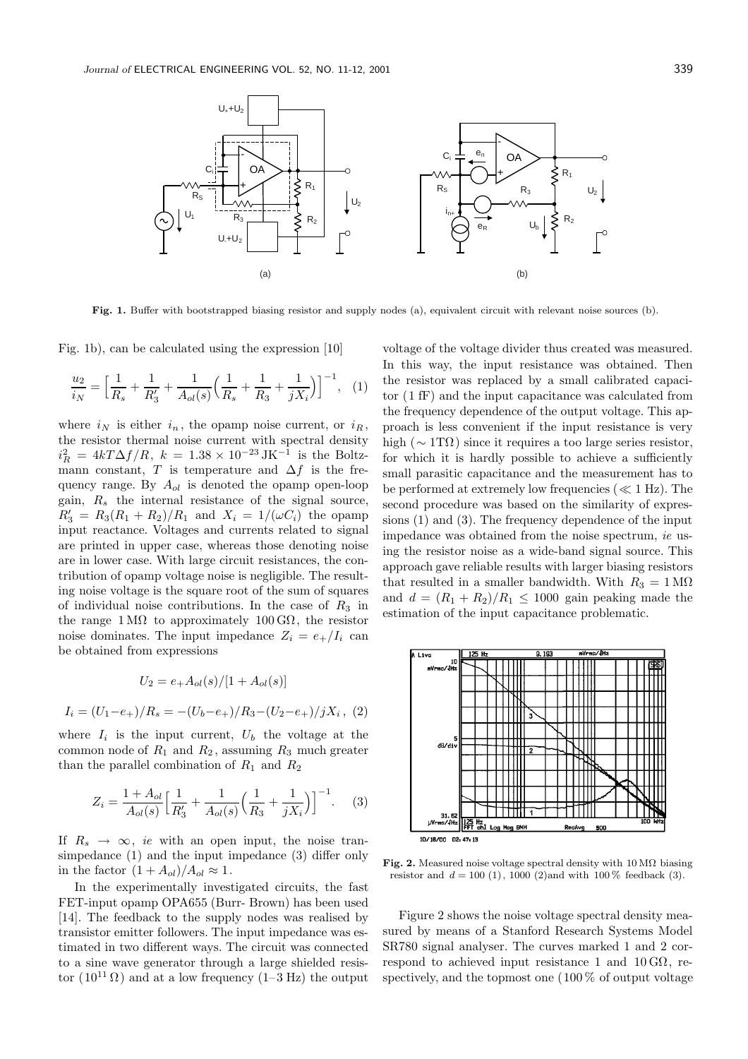

**Fig. 1.** Buffer with bootstrapped biasing resistor and supply nodes (a), equivalent circuit with relevant noise sources (b).

Fig. 1b), can be calculated using the expression [10]

$$
\frac{u_2}{i_N} = \left[\frac{1}{R_s} + \frac{1}{R'_3} + \frac{1}{A_{ol}(s)}\left(\frac{1}{R_s} + \frac{1}{R_3} + \frac{1}{jX_i}\right)\right]^{-1}, (1)
$$

where  $i_N$  is either  $i_n$ , the opamp noise current, or  $i_R$ , the resistor thermal noise current with spectral density  $i_R^2 = 4kT\Delta f/R$ ,  $k = 1.38 \times 10^{-23} \text{ JK}^{-1}$  is the Boltzmann constant, T is temperature and  $\Delta f$  is the frequency range. By A*ol* is denoted the opamp open-loop gain, R*<sup>s</sup>* the internal resistance of the signal source,  $R'_3 = R_3(R_1 + R_2)/R_1$  and  $X_i = 1/(\omega C_i)$  the opamp input reactance. Voltages and currents related to signal are printed in upper case, whereas those denoting noise are in lower case. With large circuit resistances, the contribution of opamp voltage noise is negligible. The resulting noise voltage is the square root of the sum of squares of individual noise contributions. In the case of  $R_3$  in the range  $1 \text{M}\Omega$  to approximately  $100 \text{G}\Omega$ , the resistor noise dominates. The input impedance  $Z_i = e_+/I_i$  can be obtained from expressions

$$
U_2 = e_+ A_{ol}(s) / [1 + A_{ol}(s)]
$$
  

$$
I_i = (U_1 - e_+) / R_s = -(U_b - e_+) / R_3 - (U_2 - e_+) / jX_i , (2)
$$

where  $I_i$  is the input current,  $U_b$  the voltage at the common node of  $R_1$  and  $R_2$ , assuming  $R_3$  much greater than the parallel combination of  $R_1$  and  $R_2$ 

$$
Z_i = \frac{1 + A_{ol}}{A_{ol}(s)} \Big[ \frac{1}{R'_3} + \frac{1}{A_{ol}(s)} \Big( \frac{1}{R_3} + \frac{1}{jX_i} \Big) \Big]^{-1}.
$$
 (3)

If  $R_s \rightarrow \infty$ , *ie* with an open input, the noise transimpedance (1) and the input impedance (3) differ only in the factor  $(1 + A_{ol})/A_{ol} \approx 1$ .

In the experimentally investigated circuits, the fast FET-input opamp OPA655 (Burr- Brown) has been used [14]. The feedback to the supply nodes was realised by transistor emitter followers. The input impedance was estimated in two different ways. The circuit was connected to a sine wave generator through a large shielded resistor  $(10^{11} \Omega)$  and at a low frequency  $(1-3 \text{ Hz})$  the output voltage of the voltage divider thus created was measured. In this way, the input resistance was obtained. Then the resistor was replaced by a small calibrated capacitor (1 fF) and the input capacitance was calculated from the frequency dependence of the output voltage. This approach is less convenient if the input resistance is very high ( $\sim 1 \text{T}\Omega$ ) since it requires a too large series resistor, for which it is hardly possible to achieve a sufficiently small parasitic capacitance and the measurement has to be performed at extremely low frequencies ( $\ll 1$  Hz). The second procedure was based on the similarity of expressions (1) and (3). The frequency dependence of the input impedance was obtained from the noise spectrum, *ie* using the resistor noise as a wide-band signal source. This approach gave reliable results with larger biasing resistors that resulted in a smaller bandwidth. With  $R_3 = 1 \text{ M}\Omega$ and  $d = (R_1 + R_2)/R_1 \leq 1000$  gain peaking made the estimation of the input capacitance problematic.



Fig. 2. Measured noise voltage spectral density with  $10 \text{ M}\Omega$  biasing resistor and  $d = 100 (1)$ , 1000 (2)and with  $100 \%$  feedback (3).

Figure 2 shows the noise voltage spectral density measured by means of a Stanford Research Systems Model SR780 signal analyser. The curves marked 1 and 2 correspond to achieved input resistance 1 and  $10 \text{ G}\Omega$ , respectively, and the topmost one (100 % of output voltage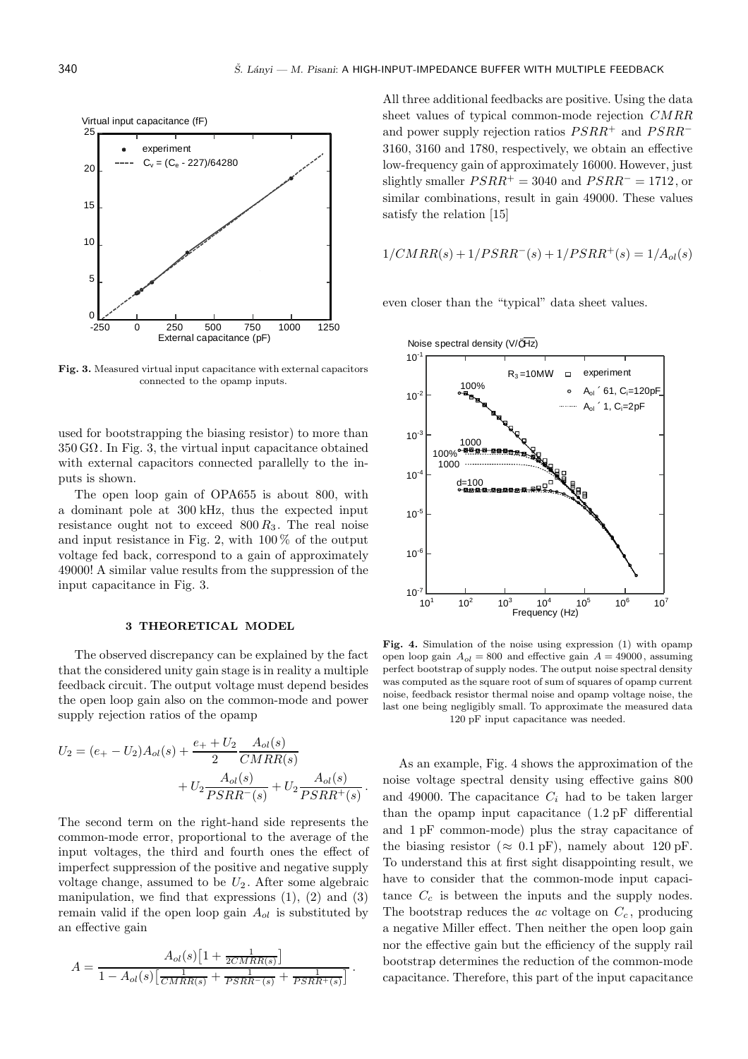

**Fig. 3.** Measured virtual input capacitance with external capacitors connected to the opamp inputs.

used for bootstrapping the biasing resistor) to more than  $350 \text{ G}\Omega$ . In Fig. 3, the virtual input capacitance obtained with external capacitors connected parallelly to the inputs is shown.

The open loop gain of OPA655 is about 800, with a dominant pole at 300 kHz, thus the expected input resistance ought not to exceed  $800 R_3$ . The real noise and input resistance in Fig. 2, with  $100\%$  of the output voltage fed back, correspond to a gain of approximately 49000! A similar value results from the suppression of the input capacitance in Fig. 3.

#### **3 THEORETICAL MODEL**

The observed discrepancy can be explained by the fact that the considered unity gain stage is in reality a multiple feedback circuit. The output voltage must depend besides the open loop gain also on the common-mode and power supply rejection ratios of the opamp

$$
U_2 = (e_+ - U_2)A_{ol}(s) + \frac{e_+ + U_2}{2} \frac{A_{ol}(s)}{CMRR(s)}
$$

$$
+ U_2 \frac{A_{ol}(s)}{PSRR^-(s)} + U_2 \frac{A_{ol}(s)}{PSRR^+(s)}
$$

.

The second term on the right-hand side represents the common-mode error, proportional to the average of the input voltages, the third and fourth ones the effect of imperfect suppression of the positive and negative supply voltage change, assumed to be  $U_2$ . After some algebraic manipulation, we find that expressions  $(1)$ ,  $(2)$  and  $(3)$ remain valid if the open loop gain A*ol* is substituted by an effective gain

$$
A = \frac{A_{ol}(s) \left[1 + \frac{1}{2CMRR(s)}\right]}{1 - A_{ol}(s) \left[\frac{1}{CMRR(s)} + \frac{1}{PSRR^{-}(s)} + \frac{1}{PSRR^{+}(s)}\right]}.
$$

All three additional feedbacks are positive. Using the data sheet values of typical common-mode rejection CMRR and power supply rejection ratios  $PSRR^+$  and  $PSRR^-$ 3160, 3160 and 1780, respectively, we obtain an effective low-frequency gain of approximately 16000. However, just slightly smaller  $PSRR^+ = 3040$  and  $PSRR^- = 1712$ , or similar combinations, result in gain 49000. These values satisfy the relation [15]

$$
1/CMRR(s) + 1/PSRR^{-}(s) + 1/PSRR^{+}(s) = 1/A_{ol}(s)
$$

even closer than the "typical" data sheet values.



**Fig. 4.** Simulation of the noise using expression (1) with opamp open loop gain  $A_{ol} = 800$  and effective gain  $A = 49000$ , assuming perfect bootstrap of supply nodes. The output noise spectral density was computed as the square root of sum of squares of opamp current noise, feedback resistor thermal noise and opamp voltage noise, the last one being negligibly small. To approximate the measured data 120 pF input capacitance was needed.

As an example, Fig. 4 shows the approximation of the noise voltage spectral density using effective gains 800 and 49000. The capacitance  $C_i$  had to be taken larger than the opamp input capacitance (1.2 pF differential and 1 pF common-mode) plus the stray capacitance of the biasing resistor ( $\approx 0.1$  pF), namely about 120 pF. To understand this at first sight disappointing result, we have to consider that the common-mode input capacitance  $C_c$  is between the inputs and the supply nodes. The bootstrap reduces the  $ac$  voltage on  $C_c$ , producing a negative Miller effect. Then neither the open loop gain nor the effective gain but the efficiency of the supply rail bootstrap determines the reduction of the common-mode capacitance. Therefore, this part of the input capacitance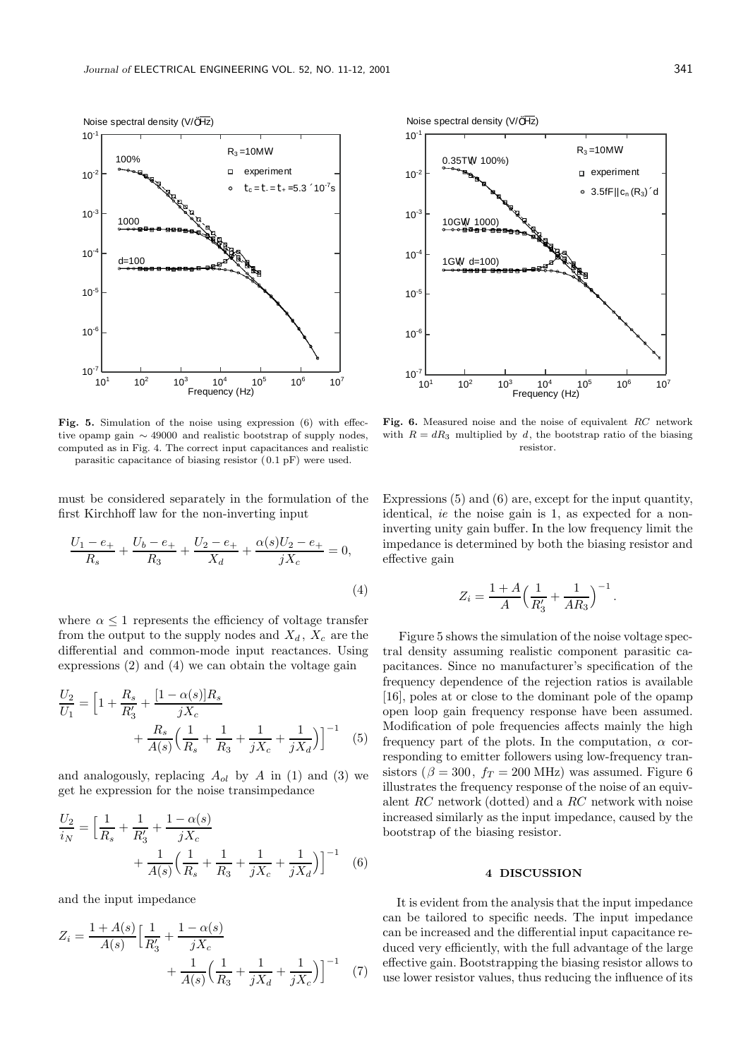

**Fig. 5.** Simulation of the noise using expression (6) with effective opamp gain ∼ 49000 and realistic bootstrap of supply nodes, computed as in Fig. 4. The correct input capacitances and realistic parasitic capacitance of biasing resistor ( 0*.*1 pF) were used.

must be considered separately in the formulation of the first Kirchhoff law for the non-inverting input

$$
\frac{U_1 - e_+}{R_s} + \frac{U_b - e_+}{R_3} + \frac{U_2 - e_+}{X_d} + \frac{\alpha(s)U_2 - e_+}{jX_c} = 0,
$$
\n(4)

where  $\alpha \leq 1$  represents the efficiency of voltage transfer from the output to the supply nodes and  $X_d$ ,  $X_c$  are the differential and common-mode input reactances. Using expressions (2) and (4) we can obtain the voltage gain

$$
\frac{U_2}{U_1} = \left[1 + \frac{R_s}{R'_3} + \frac{[1 - \alpha(s)]R_s}{jX_c} + \frac{R_s}{A(s)} \left(\frac{1}{R_s} + \frac{1}{R_3} + \frac{1}{jX_c} + \frac{1}{jX_d}\right)\right]^{-1}
$$
(5)

and analogously, replacing  $A_{ol}$  by A in (1) and (3) we get he expression for the noise transimpedance

$$
\frac{U_2}{i_N} = \left[\frac{1}{R_s} + \frac{1}{R'_3} + \frac{1 - \alpha(s)}{jX_c} + \frac{1}{A(s)}\left(\frac{1}{R_s} + \frac{1}{R_3} + \frac{1}{jX_c} + \frac{1}{jX_d}\right)\right]^{-1}
$$
(6)

and the input impedance

$$
Z_i = \frac{1 + A(s)}{A(s)} \Big[ \frac{1}{R'_3} + \frac{1 - \alpha(s)}{jX_c} + \frac{1}{jX_c} \Big( \frac{1}{R_3} + \frac{1}{jX_d} + \frac{1}{jX_c} \Big) \Big]^{-1} \tag{7}
$$



**Fig. 6.** Measured noise and the noise of equivalent *RC* network with  $R = dR_3$  multiplied by *d*, the bootstrap ratio of the biasing resistor.

Expressions (5) and (6) are, except for the input quantity, identical, *ie* the noise gain is 1, as expected for a noninverting unity gain buffer. In the low frequency limit the impedance is determined by both the biasing resistor and effective gain

$$
Z_i = \frac{1+A}{A} \Big(\frac{1}{R'_3} + \frac{1}{AR_3}\Big)^{-1}.
$$

Figure 5 shows the simulation of the noise voltage spectral density assuming realistic component parasitic capacitances. Since no manufacturer's specification of the frequency dependence of the rejection ratios is available [16], poles at or close to the dominant pole of the opamp open loop gain frequency response have been assumed. Modification of pole frequencies affects mainly the high frequency part of the plots. In the computation,  $\alpha$  corresponding to emitter followers using low-frequency transistors ( $\beta = 300$ ,  $f_T = 200$  MHz) was assumed. Figure 6 illustrates the frequency response of the noise of an equivalent RC network (dotted) and a RC network with noise increased similarly as the input impedance, caused by the bootstrap of the biasing resistor.

### **4 DISCUSSION**

It is evident from the analysis that the input impedance can be tailored to specific needs. The input impedance can be increased and the differential input capacitance reduced very efficiently, with the full advantage of the large effective gain. Bootstrapping the biasing resistor allows to use lower resistor values, thus reducing the influence of its